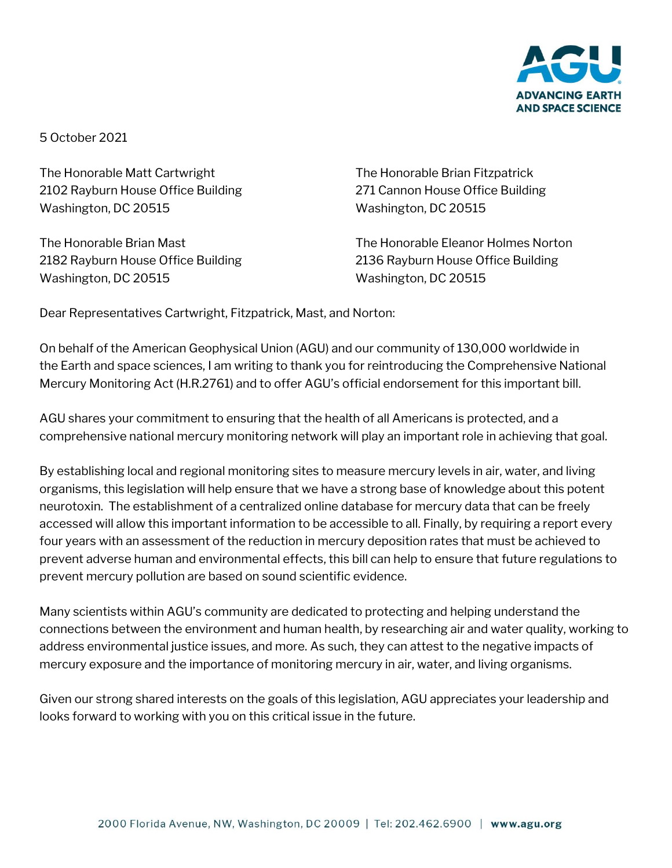

5 October 2021

The Honorable Matt Cartwright The Honorable Brian Fitzpatrick 2102 Rayburn House Office Building 271 Cannon House Office Building Washington, DC 20515 Washington, DC 20515

Washington, DC 20515 Washington, DC 20515

The Honorable Brian Mast The Honorable Eleanor Holmes Norton 2182 Rayburn House Office Building 2136 Rayburn House Office Building

Dear Representatives Cartwright, Fitzpatrick, Mast, and Norton:

On behalf of the American Geophysical Union (AGU) and our community of 130,000 worldwide in the Earth and space sciences, I am writing to thank you for reintroducing the Comprehensive National Mercury Monitoring Act (H.R.2761) and to offer AGU's official endorsement for this important bill.

AGU shares your commitment to ensuring that the health of all Americans is protected, and a comprehensive national mercury monitoring network will play an important role in achieving that goal.

By establishing local and regional monitoring sites to measure mercury levels in air, water, and living organisms, this legislation will help ensure that we have a strong base of knowledge about this potent neurotoxin. The establishment of a centralized online database for mercury data that can be freely accessed will allow this important information to be accessible to all. Finally, by requiring a report every four years with an assessment of the reduction in mercury deposition rates that must be achieved to prevent adverse human and environmental effects, this bill can help to ensure that future regulations to prevent mercury pollution are based on sound scientific evidence.

Many scientists within AGU's community are dedicated to protecting and helping understand the connections between the environment and human health, by researching air and water quality, working to address environmental justice issues, and more. As such, they can attest to the negative impacts of mercury exposure and the importance of monitoring mercury in air, water, and living organisms.

Given our strong shared interests on the goals of this legislation, AGU appreciates your leadership and looks forward to working with you on this critical issue in the future.